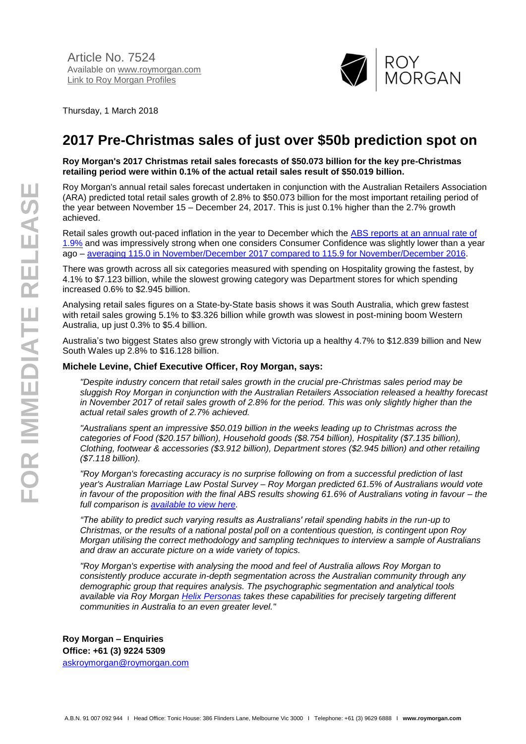

Thursday, 1 March 2018

## **2017 Pre-Christmas sales of just over \$50b prediction spot on**

**Roy Morgan's 2017 Christmas retail sales forecasts of \$50.073 billion for the key pre-Christmas retailing period were within 0.1% of the actual retail sales result of \$50.019 billion.**

Roy Morgan's annual retail sales forecast undertaken in conjunction with the Australian Retailers Association (ARA) predicted total retail sales growth of 2.8% to \$50.073 billion for the most important retailing period of the year between November 15 – December 24, 2017. This is just 0.1% higher than the 2.7% growth achieved.

Retail sales growth out-paced inflation in the year to December which the [ABS reports at an annual rate of](http://abs.gov.au/AUSSTATS/abs@.nsf/mf/6401.0?opendocument&ref=HPKI)  [1.9%](http://abs.gov.au/AUSSTATS/abs@.nsf/mf/6401.0?opendocument&ref=HPKI) and was impressively strong when one considers Consumer Confidence was slightly lower than a year ago – [averaging 115.0 in November/December 2017 compared to 115.9 for November/December 2016.](http://www.roymorgan.com/morganpoll/consumer-confidence/consumer-monthly-results)

There was growth across all six categories measured with spending on Hospitality growing the fastest, by 4.1% to \$7.123 billion, while the slowest growing category was Department stores for which spending increased 0.6% to \$2.945 billion.

Analysing retail sales figures on a State-by-State basis shows it was South Australia, which grew fastest with retail sales growing 5.1% to \$3.326 billion while growth was slowest in post-mining boom Western Australia, up just 0.3% to \$5.4 billion.

Australia's two biggest States also grew strongly with Victoria up a healthy 4.7% to \$12.839 billion and New South Wales up 2.8% to \$16.128 billion.

## **Michele Levine, Chief Executive Officer, Roy Morgan, says:**

*"Despite industry concern that retail sales growth in the crucial pre-Christmas sales period may be sluggish Roy Morgan in conjunction with the Australian Retailers Association released a healthy forecast in November 2017 of retail sales growth of 2.8% for the period. This was only slightly higher than the actual retail sales growth of 2.7% achieved.*

*"Australians spent an impressive \$50.019 billion in the weeks leading up to Christmas across the categories of Food (\$20.157 billion), Household goods (\$8.754 billion), Hospitality (\$7.135 billion), Clothing, footwear & accessories (\$3.912 billion), Department stores (\$2.945 billion) and other retailing (\$7.118 billion).*

*"Roy Morgan's forecasting accuracy is no surprise following on from a successful prediction of last year's Australian Marriage Law Postal Survey – Roy Morgan predicted 61.5% of Australians would vote in favour of the proposition with the final ABS results showing 61.6% of Australians voting in favour – the full comparison is [available to view here.](http://www.roymorgan.com/findings/7374-australian-marriage-law-postal-survey-roy-morgan-v-abs-november-2017-201711150543)*

*"The ability to predict such varying results as Australians' retail spending habits in the run-up to Christmas, or the results of a national postal poll on a contentious question, is contingent upon Roy Morgan utilising the correct methodology and sampling techniques to interview a sample of Australians and draw an accurate picture on a wide variety of topics.*

*"Roy Morgan's expertise with analysing the mood and feel of Australia allows Roy Morgan to consistently produce accurate in-depth segmentation across the Australian community through any demographic group that requires analysis. The psychographic segmentation and analytical tools available via Roy Morgan [Helix Personas](http://www.helixpersonas.com.au/) takes these capabilities for precisely targeting different communities in Australia to an even greater level."*

**Roy Morgan – Enquiries Office: +61 (3) 9224 5309** [askroymorgan@roymorgan.com](mailto:askroymorgan@roymorgan.com)